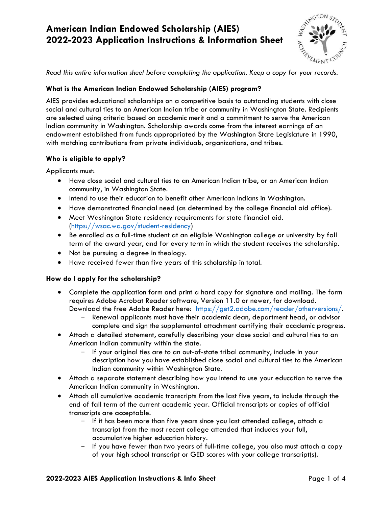# **American Indian Endowed Scholarship (AIES) 2022-2023 Application Instructions & Information Sheet**



 *Read this entire information sheet before completing the application. Keep a copy for your records.* 

#### **What is the American Indian Endowed Scholarship (AIES) program?**

 AIES provides educational scholarships on a competitive basis to outstanding students with close social and cultural ties to an American Indian tribe or community in Washington State. Recipients are selected using criteria based on academic merit and a commitment to serve the American Indian community in Washington. Scholarship awards come from the interest earnings of an endowment established from funds appropriated by the Washington State Legislature in 1990, with matching contributions from private individuals, organizations, and tribes.

#### **Who is eligible to apply?**

Applicants must:

- • Have close social and cultural ties to an American Indian tribe, or an American Indian community, in Washington State.
- Intend to use their education to benefit other American Indians in Washington.
- Have demonstrated financial need (as determined by the college financial aid office).
- • Meet Washington State residency requirements for state financial aid. [\(https://wsac.wa.gov/student-residency\)](https://wsac.wa.gov/student-residency)
- • Be enrolled as a full-time student at an eligible Washington college or university by fall term of the award year, and for every term in which the student receives the scholarship.
- Not be pursuing a degree in theology.
- Have received fewer than five years of this scholarship in total.

#### **How do I apply for the scholarship?**

- • Complete the application form and print a hard copy for signature and mailing. The form requires Adobe Acrobat Reader software, Version 11.0 or newer, for download. Download the free Adobe Reader here: [https://get2.adobe.com/reader/otherversions/.](https://get2.adobe.com/reader/otherversions/)
	- Renewal applicants must have their academic dean, department head, or advisor complete and sign the supplemental attachment certifying their academic progress.
- • Attach a detailed statement, carefully describing your close social and cultural ties to an American Indian community within the state.
	- If your original ties are to an out-of-state tribal community, include in your description how you have established close social and cultural ties to the American Indian community within Washington State.
- • Attach a separate statement describing how you intend to use your education to serve the American Indian community in Washington.
- • Attach all cumulative academic transcripts from the last five years, to include through the end of fall term of the current academic year. Official transcripts or copies of official transcripts are acceptable.
	- If it has been more than five years since you last attended college, attach a transcript from the most recent college attended that includes your full, accumulative higher education history.
	- - If you have fewer than two years of full-time college, you also must attach a copy of your high school transcript or GED scores with your college transcript(s).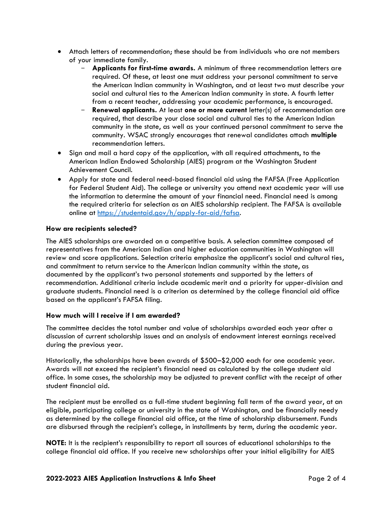- • Attach letters of recommendation; these should be from individuals who are not members of your immediate family.
	- **Applicants for first-time awards.** A minimum of three recommendation letters are required. Of these, at least one must address your personal commitment to serve the American Indian community in Washington, and at least two must describe your social and cultural ties to the American Indian community in state. A fourth letter from a recent teacher, addressing your academic performance, is encouraged.
	- - **Renewal applicants.** At least **one or more current** letter(s) of recommendation are required, that describe your close social and cultural ties to the American Indian community in the state, as well as your continued personal commitment to serve the community. WSAC strongly encourages that renewal candidates attach **multiple**  recommendation letters.
- • Sign and mail a hard copy of the application, with all required attachments, to the American Indian Endowed Scholarship (AIES) program at the Washington Student Achievement Council.
- • Apply for state and federal need-based financial aid using the FAFSA (Free Application for Federal Student Aid). The college or university you attend next academic year will use the information to determine the amount of your financial need. Financial need is among the required criteria for selection as an AIES scholarship recipient. The FAFSA is available online at [https://studentaid.gov/h/apply-for-aid/fafsa.](https://studentaid.gov/h/apply-for-aid/fafsa)

#### **How are recipients selected?**

 The AIES scholarships are awarded on a competitive basis. A selection committee composed of representatives from the American Indian and higher education communities in Washington will review and score applications. Selection criteria emphasize the applicant's social and cultural ties, and commitment to return service to the American Indian community within the state, as documented by the applicant's two personal statements and supported by the letters of recommendation. Additional criteria include academic merit and a priority for upper-division and graduate students. Financial need is a criterion as determined by the college financial aid office based on the applicant's FAFSA filing.

#### **How much will I receive if I am awarded?**

 The committee decides the total number and value of scholarships awarded each year after a discussion of current scholarship issues and an analysis of endowment interest earnings received during the previous year.

 Historically, the scholarships have been awards of \$500–\$2,000 each for one academic year. Awards will not exceed the recipient's financial need as calculated by the college student aid office. In some cases, the scholarship may be adjusted to prevent conflict with the receipt of other student financial aid.

 The recipient must be enrolled as a full-time student beginning fall term of the award year, at an eligible, participating college or university in the state of Washington, and be financially needy as determined by the college financial aid office, at the time of scholarship disbursement. Funds are disbursed through the recipient's college, in installments by term, during the academic year.

 **NOTE:** It is the recipient's responsibility to report all sources of educational scholarships to the college financial aid office. If you receive new scholarships after your initial eligibility for AIES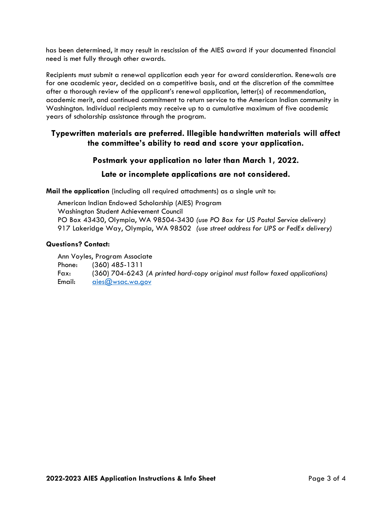has been determined, it may result in rescission of the AIES award if your documented financial need is met fully through other awards.

 Recipients must submit a renewal application each year for award consideration. Renewals are for one academic year, decided on a competitive basis, and at the discretion of the committee after a thorough review of the applicant's renewal application, letter(s) of recommendation, academic merit, and continued commitment to return service to the American Indian community in Washington. Individual recipients may receive up to a cumulative maximum of five academic years of scholarship assistance through the program.

### **the committee's ability to read and score your application. Typewritten materials are preferred. Illegible handwritten materials will affect**

#### **Postmark your application no later than March 1, 2022.**

#### **Late or incomplete applications are not considered.**

**Mail the application** (including all required attachments) as a single unit to:

 American Indian Endowed Scholarship (AIES) Program Washington Student Achievement Council  917 Lakeridge Way, Olympia, WA 98502 *(use street address for UPS or FedEx delivery)*  PO Box 43430, Olympia, WA 98504-3430 *(use PO Box for US Postal Service delivery)* 

#### **Questions? Contact:**

 Fax: (360) 704-6243 *(A printed hard-copy original must follow faxed applications)*  Ann Voyles, Program Associate Phone: (360) 485-1311 Email: aies@wsac.wa.gov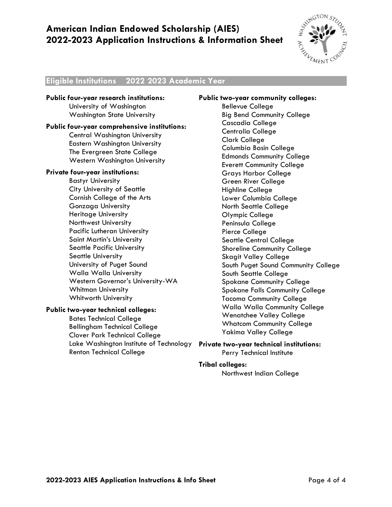# **American Indian Endowed Scholarship (AIES) 2022-2023 Application Instructions & Information Sheet**



#### **– - Eligible Institutions 2022 2023 Academic Year**

 **Public four-year research institutions:**  University of Washington Washington State University

#### **Public four-year comprehensive institutions:**

Central Washington University Eastern Washington University The Evergreen State College Western Washington University

#### **Private four-year institutions:**

 Saint Martin's University Seattle Pacific University University of Puget Sound Walla Walla University Bastyr University City University of Seattle Cornish College of the Arts Gonzaga University Heritage University Northwest University Pacific Lutheran University Seattle University Western Governor's University-WA Whitman University Whitworth University

#### **Public two-year technical colleges:**

 Bellingham Technical College Clover Park Technical College Lake Washington Institute of Technology **Private two-year technical institutions:**  Bates Technical College Renton Technical College

#### **Public two-year community colleges:**

 Big Bend Community College Grays Harbor College Lower Columbia College South Puget Sound Community College Walla Walla Community College Bellevue College Cascadia College Centralia College Clark College Columbia Basin College Edmonds Community College Everett Community College Green River College Highline College North Seattle College Olympic College Peninsula College Pierce College Seattle Central College Shoreline Community College Skagit Valley College South Seattle College Spokane Community College Spokane Falls Community College Tacoma Community College Wenatchee Valley College Whatcom Community College Yakima Valley College

# Perry Technical Institute

#### **Tribal colleges:**

Northwest Indian College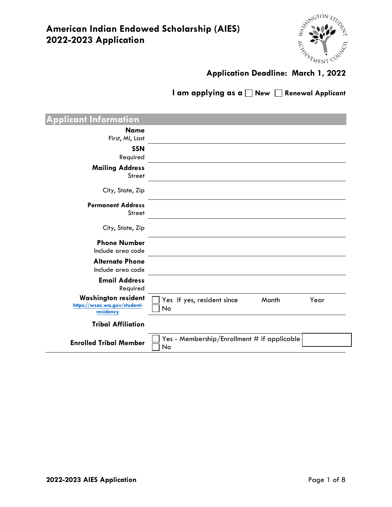

I am applying as a  $\Box$  New  $\Box$  Renewal Applicant

| <b>Applicant Information</b>                                            |                                                     |      |
|-------------------------------------------------------------------------|-----------------------------------------------------|------|
| <b>Name</b><br>First, MI, Last                                          |                                                     |      |
| <b>SSN</b><br>Required                                                  |                                                     |      |
| <b>Mailing Address</b><br><b>Street</b>                                 |                                                     |      |
| City, State, Zip                                                        |                                                     |      |
| <b>Permanent Address</b><br><b>Street</b>                               |                                                     |      |
| City, State, Zip                                                        |                                                     |      |
| <b>Phone Number</b><br>Include area code                                |                                                     |      |
| <b>Alternate Phone</b><br>Include area code                             |                                                     |      |
| <b>Email Address</b><br>Required                                        |                                                     |      |
| <b>Washington resident</b><br>https://wsac.wa.gov/student-<br>residency | Month<br>Yes If yes, resident since<br>No           | Year |
| <b>Tribal Affiliation</b>                                               |                                                     |      |
| <b>Enrolled Tribal Member</b>                                           | Yes - Membership/Enrollment $#$ if applicable<br>No |      |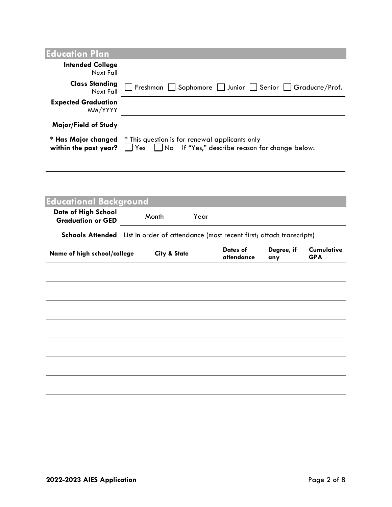| <b>Education Plan</b>                        |                                                                                                          |
|----------------------------------------------|----------------------------------------------------------------------------------------------------------|
| <b>Intended College</b><br>Next Fall         |                                                                                                          |
| <b>Class Standing</b><br>Next Fall           | Freshman   Sophomore   Junior   Senior   Graduate/Prof.                                                  |
| <b>Expected Graduation</b><br>MM/YYYY        |                                                                                                          |
| Major/Field of Study                         |                                                                                                          |
| * Has Major changed<br>within the past year? | * This question is for renewal applicants only<br>□ Yes □ No If "Yes," describe reason for change below: |

| <b>Educational Background</b>                                                        |                         |      |                        |                   |                          |
|--------------------------------------------------------------------------------------|-------------------------|------|------------------------|-------------------|--------------------------|
| Date of High School<br><b>Graduation or GED</b>                                      | Month                   | Year |                        |                   |                          |
| Schools Attended List in order of attendance (most recent first; attach transcripts) |                         |      |                        |                   |                          |
| Name of high school/college                                                          | <b>City &amp; State</b> |      | Dates of<br>attendance | Degree, if<br>any | Cumulative<br><b>GPA</b> |
|                                                                                      |                         |      |                        |                   |                          |
|                                                                                      |                         |      |                        |                   |                          |
|                                                                                      |                         |      |                        |                   |                          |
|                                                                                      |                         |      |                        |                   |                          |
|                                                                                      |                         |      |                        |                   |                          |
|                                                                                      |                         |      |                        |                   |                          |
|                                                                                      |                         |      |                        |                   |                          |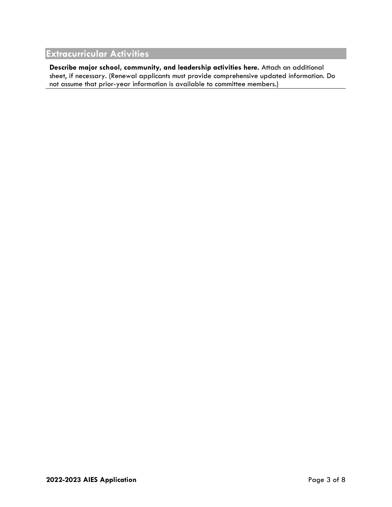# **Extracurricular Activities**

**Describe major school, community, and leadership activities here.** Attach an additional sheet, if necessary. (Renewal applicants must provide comprehensive updated information. Do not assume that prior-year information is available to committee members.)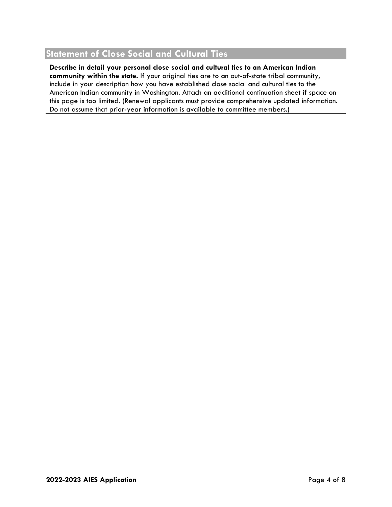# **Statement of Close Social and Cultural Ties**

**Describe in detail your personal close social and cultural ties to an American Indian community within the state.** If your original ties are to an out-of-state tribal community, include in your description how you have established close social and cultural ties to the American Indian community in Washington. Attach an additional continuation sheet if space on this page is too limited. (Renewal applicants must provide comprehensive updated information. Do not assume that prior-year information is available to committee members.)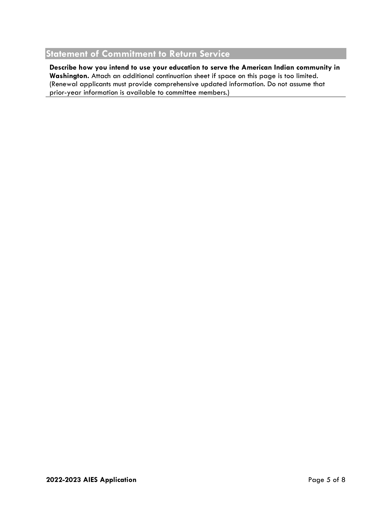# **Statement of Commitment to Return Service**

**Describe how you intend to use your education to serve the American Indian community in Washington.** Attach an additional continuation sheet if space on this page is too limited. (Renewal applicants must provide comprehensive updated information. Do not assume that prior-year information is available to committee members.)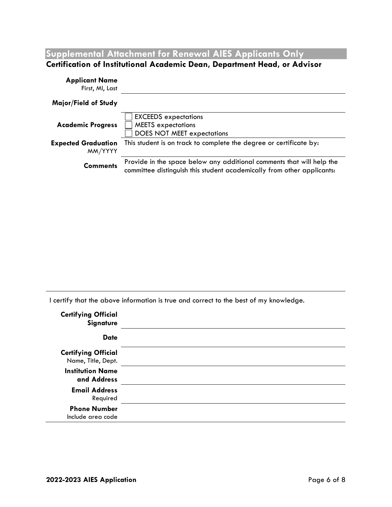**Supplemental Attachment for Renewal AIES Applicants Only** 

## **Certification of Institutional Academic Dean, Department Head, or Advisor**

| <b>Applicant Name</b><br>First, MI, Last |                                                                                                                                                 |
|------------------------------------------|-------------------------------------------------------------------------------------------------------------------------------------------------|
| Major/Field of Study                     |                                                                                                                                                 |
| <b>Academic Progress</b>                 | <b>EXCEEDS</b> expectations<br><b>MEETS</b> expectations<br><b>DOES NOT MEET expectations</b>                                                   |
| <b>Expected Graduation</b><br>MM/YYYY    | This student is on track to complete the degree or certificate by:                                                                              |
| <b>Comments</b>                          | Provide in the space below any additional comments that will help the<br>committee distinguish this student academically from other applicants: |

I certify that the above information is true and correct to the best of my knowledge.

| <b>Certifying Official</b><br><b>Signature</b>   |  |
|--------------------------------------------------|--|
| <b>Date</b>                                      |  |
| <b>Certifying Official</b><br>Name, Title, Dept. |  |
| <b>Institution Name</b><br>and Address           |  |
| <b>Email Address</b><br>Required                 |  |
| <b>Phone Number</b><br>Include area code         |  |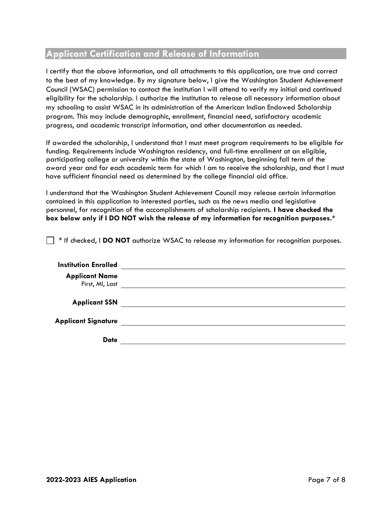# **Applicant Certification and Release of Information**

 I certify that the above information, and all attachments to this application, are true and correct to the best of my knowledge. By my signature below, I give the Washington Student Achievement Council (WSAC) permission to contact the institution I will attend to verify my initial and continued eligibility for the scholarship. I authorize the institution to release all necessary information about my schooling to assist WSAC in its administration of the American Indian Endowed Scholarship program. This may include demographic, enrollment, financial need, satisfactory academic progress, and academic transcript information, and other documentation as needed.

If awarded the scholarship, I understand that I must meet program requirements to be eligible for funding. Requirements include Washington residency, and full-time enrollment at an eligible, participating college or university within the state of Washington, beginning fall term of the award year and for each academic term for which I am to receive the scholarship, and that I must have sufficient financial need as determined by the college financial aid office.

I understand that the Washington Student Achievement Council may release certain information contained in this application to interested parties, such as the news media and legislative personnel, for recognition of the accomplishments of scholarship recipients. **I have checked the box below only if I DO NOT wish the release of my information for recognition purposes.\*** 

\* If checked, I **DO NOT** authorize WSAC to release my information for recognition purposes.